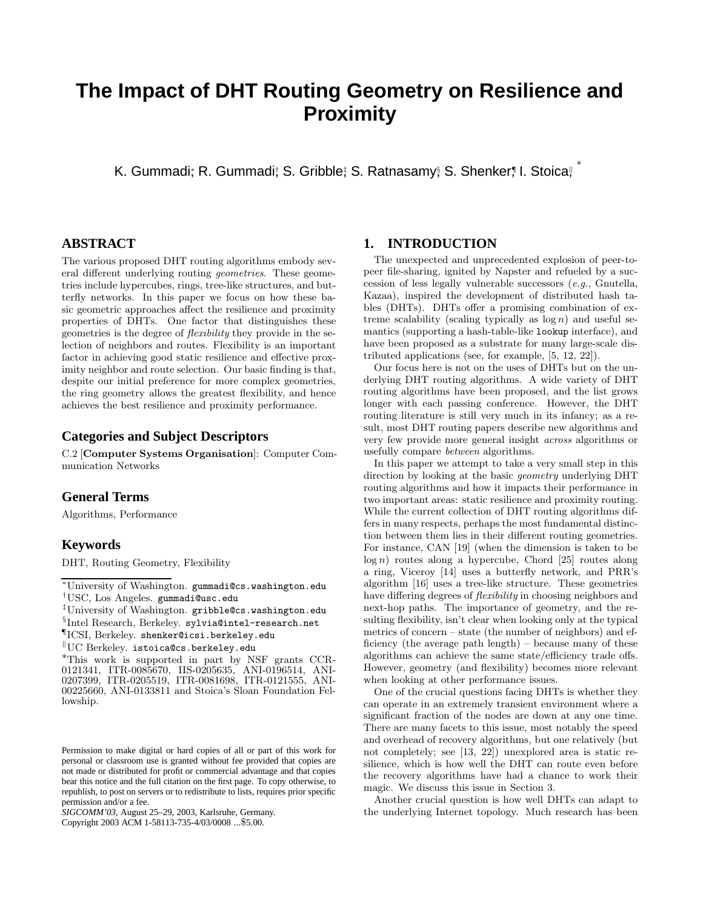# **The Impact of DHT Routing Geometry on Resilience and Proximity**

K. Gummadi; R. Gummadi; S. Gribble; S. Ratnasamy; S. Shenker, I. Stoica,  $\overline{\phantom{a}}^*$ 

# **ABSTRACT**

The various proposed DHT routing algorithms embody several different underlying routing geometries. These geometries include hypercubes, rings, tree-like structures, and butterfly networks. In this paper we focus on how these basic geometric approaches affect the resilience and proximity properties of DHTs. One factor that distinguishes these geometries is the degree of flexibility they provide in the selection of neighbors and routes. Flexibility is an important factor in achieving good static resilience and effective proximity neighbor and route selection. Our basic finding is that, despite our initial preference for more complex geometries, the ring geometry allows the greatest flexibility, and hence achieves the best resilience and proximity performance.

## **Categories and Subject Descriptors**

C.2 [Computer Systems Organisation]: Computer Communication Networks

## **General Terms**

Algorithms, Performance

# **Keywords**

DHT, Routing Geometry, Flexibility

¶ ICSI, Berkeley. shenker@icsi.berkeley.edu

 $\mathbb{I}_{\text{UC}}$  Berkeley. istoica@cs.berkeley.edu

\*This work is supported in part by NSF grants CCR-0121341, ITR-0085670, IIS-0205635, ANI-0196514, ANI-0207399, ITR-0205519, ITR-0081698, ITR-0121555, ANI-00225660, ANI-0133811 and Stoica's Sloan Foundation Fellowship.

Copyright 2003 ACM 1-58113-735-4/03/0008 ...\$5.00.

# **1. INTRODUCTION**

The unexpected and unprecedented explosion of peer-topeer file-sharing, ignited by Napster and refueled by a succession of less legally vulnerable successors (e.g., Gnutella, Kazaa), inspired the development of distributed hash tables (DHTs). DHTs offer a promising combination of extreme scalability (scaling typically as  $log n$ ) and useful semantics (supporting a hash-table-like lookup interface), and have been proposed as a substrate for many large-scale distributed applications (see, for example, [5, 12, 22]).

Our focus here is not on the uses of DHTs but on the underlying DHT routing algorithms. A wide variety of DHT routing algorithms have been proposed, and the list grows longer with each passing conference. However, the DHT routing literature is still very much in its infancy; as a result, most DHT routing papers describe new algorithms and very few provide more general insight across algorithms or usefully compare between algorithms.

In this paper we attempt to take a very small step in this direction by looking at the basic geometry underlying DHT routing algorithms and how it impacts their performance in two important areas: static resilience and proximity routing. While the current collection of DHT routing algorithms differs in many respects, perhaps the most fundamental distinction between them lies in their different routing geometries. For instance, CAN [19] (when the dimension is taken to be  $log n$ ) routes along a hypercube, Chord [25] routes along a ring, Viceroy [14] uses a butterfly network, and PRR's algorithm [16] uses a tree-like structure. These geometries have differing degrees of *flexibility* in choosing neighbors and next-hop paths. The importance of geometry, and the resulting flexibility, isn't clear when looking only at the typical metrics of concern – state (the number of neighbors) and efficiency (the average path length) – because many of these algorithms can achieve the same state/efficiency trade offs. However, geometry (and flexibility) becomes more relevant when looking at other performance issues.

One of the crucial questions facing DHTs is whether they can operate in an extremely transient environment where a significant fraction of the nodes are down at any one time. There are many facets to this issue, most notably the speed and overhead of recovery algorithms, but one relatively (but not completely; see [13, 22]) unexplored area is static resilience, which is how well the DHT can route even before the recovery algorithms have had a chance to work their magic. We discuss this issue in Section 3.

Another crucial question is how well DHTs can adapt to the underlying Internet topology. Much research has been

<sup>∗</sup>University of Washington. gummadi@cs.washington.edu †USC, Los Angeles. gummadi@usc.edu

<sup>‡</sup>University of Washington. gribble@cs.washington.edu  $\S$ Intel Research, Berkeley. sylvia@intel-research.net

Permission to make digital or hard copies of all or part of this work for personal or classroom use is granted without fee provided that copies are not made or distributed for profit or commercial advantage and that copies bear this notice and the full citation on the first page. To copy otherwise, to republish, to post on servers or to redistribute to lists, requires prior specific permission and/or a fee.

*SIGCOMM'03,* August 25–29, 2003, Karlsruhe, Germany.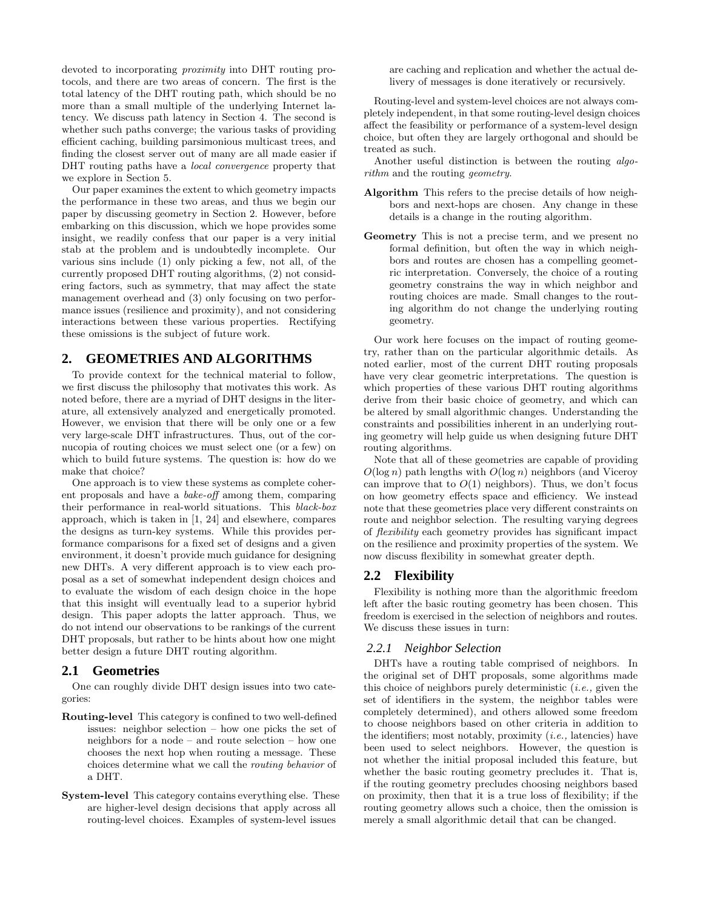devoted to incorporating *proximity* into DHT routing protocols, and there are two areas of concern. The first is the total latency of the DHT routing path, which should be no more than a small multiple of the underlying Internet latency. We discuss path latency in Section 4. The second is whether such paths converge; the various tasks of providing efficient caching, building parsimonious multicast trees, and finding the closest server out of many are all made easier if DHT routing paths have a *local convergence* property that we explore in Section 5.

Our paper examines the extent to which geometry impacts the performance in these two areas, and thus we begin our paper by discussing geometry in Section 2. However, before embarking on this discussion, which we hope provides some insight, we readily confess that our paper is a very initial stab at the problem and is undoubtedly incomplete. Our various sins include (1) only picking a few, not all, of the currently proposed DHT routing algorithms, (2) not considering factors, such as symmetry, that may affect the state management overhead and (3) only focusing on two performance issues (resilience and proximity), and not considering interactions between these various properties. Rectifying these omissions is the subject of future work.

# **2. GEOMETRIES AND ALGORITHMS**

To provide context for the technical material to follow, we first discuss the philosophy that motivates this work. As noted before, there are a myriad of DHT designs in the literature, all extensively analyzed and energetically promoted. However, we envision that there will be only one or a few very large-scale DHT infrastructures. Thus, out of the cornucopia of routing choices we must select one (or a few) on which to build future systems. The question is: how do we make that choice?

One approach is to view these systems as complete coherent proposals and have a bake-off among them, comparing their performance in real-world situations. This black-box approach, which is taken in [1, 24] and elsewhere, compares the designs as turn-key systems. While this provides performance comparisons for a fixed set of designs and a given environment, it doesn't provide much guidance for designing new DHTs. A very different approach is to view each proposal as a set of somewhat independent design choices and to evaluate the wisdom of each design choice in the hope that this insight will eventually lead to a superior hybrid design. This paper adopts the latter approach. Thus, we do not intend our observations to be rankings of the current DHT proposals, but rather to be hints about how one might better design a future DHT routing algorithm.

#### **2.1 Geometries**

One can roughly divide DHT design issues into two categories:

- Routing-level This category is confined to two well-defined issues: neighbor selection – how one picks the set of neighbors for a node – and route selection – how one chooses the next hop when routing a message. These choices determine what we call the routing behavior of a DHT.
- System-level This category contains everything else. These are higher-level design decisions that apply across all routing-level choices. Examples of system-level issues

are caching and replication and whether the actual delivery of messages is done iteratively or recursively.

Routing-level and system-level choices are not always completely independent, in that some routing-level design choices affect the feasibility or performance of a system-level design choice, but often they are largely orthogonal and should be treated as such.

Another useful distinction is between the routing algorithm and the routing geometry.

- Algorithm This refers to the precise details of how neighbors and next-hops are chosen. Any change in these details is a change in the routing algorithm.
- Geometry This is not a precise term, and we present no formal definition, but often the way in which neighbors and routes are chosen has a compelling geometric interpretation. Conversely, the choice of a routing geometry constrains the way in which neighbor and routing choices are made. Small changes to the routing algorithm do not change the underlying routing geometry.

Our work here focuses on the impact of routing geometry, rather than on the particular algorithmic details. As noted earlier, most of the current DHT routing proposals have very clear geometric interpretations. The question is which properties of these various DHT routing algorithms derive from their basic choice of geometry, and which can be altered by small algorithmic changes. Understanding the constraints and possibilities inherent in an underlying routing geometry will help guide us when designing future DHT routing algorithms.

Note that all of these geometries are capable of providing  $O(\log n)$  path lengths with  $O(\log n)$  neighbors (and Viceroy can improve that to  $O(1)$  neighbors). Thus, we don't focus on how geometry effects space and efficiency. We instead note that these geometries place very different constraints on route and neighbor selection. The resulting varying degrees of flexibility each geometry provides has significant impact on the resilience and proximity properties of the system. We now discuss flexibility in somewhat greater depth.

## **2.2 Flexibility**

Flexibility is nothing more than the algorithmic freedom left after the basic routing geometry has been chosen. This freedom is exercised in the selection of neighbors and routes. We discuss these issues in turn:

## *2.2.1 Neighbor Selection*

DHTs have a routing table comprised of neighbors. In the original set of DHT proposals, some algorithms made this choice of neighbors purely deterministic  $(i.e.,$  given the set of identifiers in the system, the neighbor tables were completely determined), and others allowed some freedom to choose neighbors based on other criteria in addition to the identifiers; most notably, proximity  $(i.e.,$  latencies) have been used to select neighbors. However, the question is not whether the initial proposal included this feature, but whether the basic routing geometry precludes it. That is, if the routing geometry precludes choosing neighbors based on proximity, then that it is a true loss of flexibility; if the routing geometry allows such a choice, then the omission is merely a small algorithmic detail that can be changed.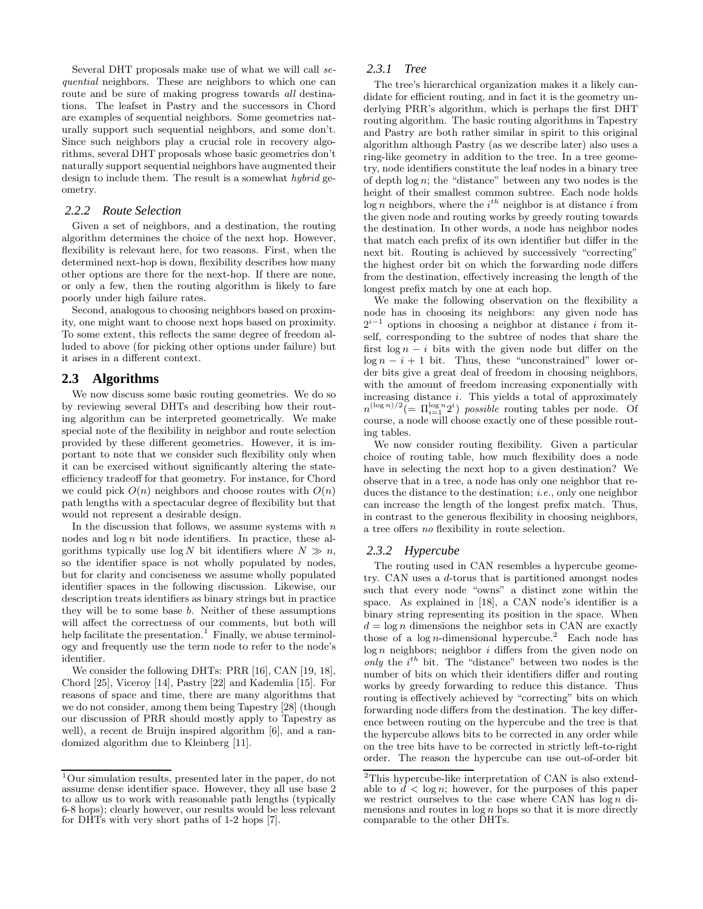Several DHT proposals make use of what we will call sequential neighbors. These are neighbors to which one can route and be sure of making progress towards *all* destinations. The leafset in Pastry and the successors in Chord are examples of sequential neighbors. Some geometries naturally support such sequential neighbors, and some don't. Since such neighbors play a crucial role in recovery algorithms, several DHT proposals whose basic geometries don't naturally support sequential neighbors have augmented their design to include them. The result is a somewhat hybrid geometry.

#### *2.2.2 Route Selection*

Given a set of neighbors, and a destination, the routing algorithm determines the choice of the next hop. However, flexibility is relevant here, for two reasons. First, when the determined next-hop is down, flexibility describes how many other options are there for the next-hop. If there are none, or only a few, then the routing algorithm is likely to fare poorly under high failure rates.

Second, analogous to choosing neighbors based on proximity, one might want to choose next hops based on proximity. To some extent, this reflects the same degree of freedom alluded to above (for picking other options under failure) but it arises in a different context.

# **2.3 Algorithms**

We now discuss some basic routing geometries. We do so by reviewing several DHTs and describing how their routing algorithm can be interpreted geometrically. We make special note of the flexibility in neighbor and route selection provided by these different geometries. However, it is important to note that we consider such flexibility only when it can be exercised without significantly altering the stateefficiency tradeoff for that geometry. For instance, for Chord we could pick  $O(n)$  neighbors and choose routes with  $O(n)$ path lengths with a spectacular degree of flexibility but that would not represent a desirable design.

In the discussion that follows, we assume systems with  $n$ nodes and  $log n$  bit node identifiers. In practice, these algorithms typically use  $\log N$  bit identifiers where  $N \gg n$ , so the identifier space is not wholly populated by nodes, but for clarity and conciseness we assume wholly populated identifier spaces in the following discussion. Likewise, our description treats identifiers as binary strings but in practice they will be to some base  $b$ . Neither of these assumptions will affect the correctness of our comments, but both will help facilitate the presentation.<sup>1</sup> Finally, we abuse terminology and frequently use the term node to refer to the node's identifier.

We consider the following DHTs: PRR [16], CAN [19, 18], Chord [25], Viceroy [14], Pastry [22] and Kademlia [15]. For reasons of space and time, there are many algorithms that we do not consider, among them being Tapestry [28] (though our discussion of PRR should mostly apply to Tapestry as well), a recent de Bruijn inspired algorithm [6], and a randomized algorithm due to Kleinberg [11].

#### *2.3.1 Tree*

The tree's hierarchical organization makes it a likely candidate for efficient routing, and in fact it is the geometry underlying PRR's algorithm, which is perhaps the first DHT routing algorithm. The basic routing algorithms in Tapestry and Pastry are both rather similar in spirit to this original algorithm although Pastry (as we describe later) also uses a ring-like geometry in addition to the tree. In a tree geometry, node identifiers constitute the leaf nodes in a binary tree of depth  $log n$ ; the "distance" between any two nodes is the height of their smallest common subtree. Each node holds  $\log n$  neighbors, where the  $i^{th}$  neighbor is at distance i from the given node and routing works by greedy routing towards the destination. In other words, a node has neighbor nodes that match each prefix of its own identifier but differ in the next bit. Routing is achieved by successively "correcting" the highest order bit on which the forwarding node differs from the destination, effectively increasing the length of the longest prefix match by one at each hop.

We make the following observation on the flexibility a node has in choosing its neighbors: any given node has  $2^{i-1}$  options in choosing a neighbor at distance i from itself, corresponding to the subtree of nodes that share the first  $\log n - i$  bits with the given node but differ on the  $\log n - i + 1$  bit. Thus, these "unconstrained" lower order bits give a great deal of freedom in choosing neighbors, with the amount of freedom increasing exponentially with increasing distance i. This yields a total of approximately  $n^{(\log n)/2}$ (=  $\Pi_{i=1}^{\log n} 2^i$ ) possible routing tables per node. Of course, a node will choose exactly one of these possible routing tables.

We now consider routing flexibility. Given a particular choice of routing table, how much flexibility does a node have in selecting the next hop to a given destination? We observe that in a tree, a node has only one neighbor that reduces the distance to the destination; *i.e.*, only one neighbor can increase the length of the longest prefix match. Thus, in contrast to the generous flexibility in choosing neighbors, a tree offers no flexibility in route selection.

#### *2.3.2 Hypercube*

The routing used in CAN resembles a hypercube geometry. CAN uses a d-torus that is partitioned amongst nodes such that every node "owns" a distinct zone within the space. As explained in [18], a CAN node's identifier is a binary string representing its position in the space. When  $d = \log n$  dimensions the neighbor sets in CAN are exactly those of a  $\log n$ -dimensional hypercube.<sup>2</sup> Each node has  $log n$  neighbors; neighbor i differs from the given node on only the  $i^{th}$  bit. The "distance" between two nodes is the number of bits on which their identifiers differ and routing works by greedy forwarding to reduce this distance. Thus routing is effectively achieved by "correcting" bits on which forwarding node differs from the destination. The key difference between routing on the hypercube and the tree is that the hypercube allows bits to be corrected in any order while on the tree bits have to be corrected in strictly left-to-right order. The reason the hypercube can use out-of-order bit

<sup>1</sup>Our simulation results, presented later in the paper, do not assume dense identifier space. However, they all use base 2 to allow us to work with reasonable path lengths (typically 6-8 hops); clearly however, our results would be less relevant for DHTs with very short paths of 1-2 hops [7].

<sup>2</sup>This hypercube-like interpretation of CAN is also extendable to  $d < \log n$ ; however, for the purposes of this paper we restrict ourselves to the case where CAN has  $\log n$  dimensions and routes in  $\log n$  hops so that it is more directly comparable to the other DHTs.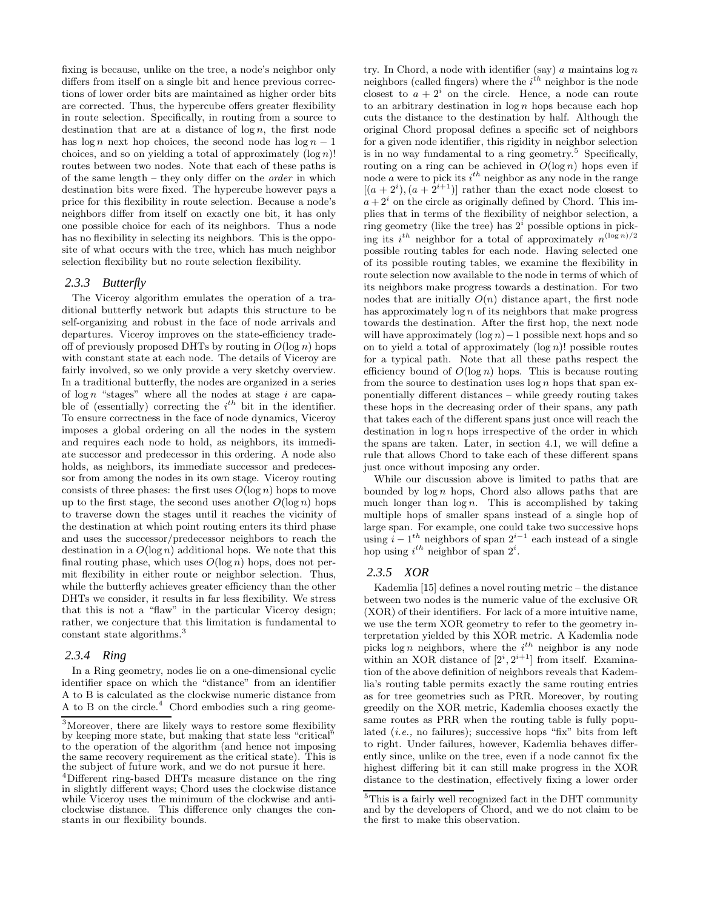fixing is because, unlike on the tree, a node's neighbor only differs from itself on a single bit and hence previous corrections of lower order bits are maintained as higher order bits are corrected. Thus, the hypercube offers greater flexibility in route selection. Specifically, in routing from a source to destination that are at a distance of  $\log n$ , the first node has  $\log n$  next hop choices, the second node has  $\log n - 1$ choices, and so on yielding a total of approximately  $(\log n)!$ routes between two nodes. Note that each of these paths is of the same length – they only differ on the *order* in which destination bits were fixed. The hypercube however pays a price for this flexibility in route selection. Because a node's neighbors differ from itself on exactly one bit, it has only one possible choice for each of its neighbors. Thus a node has no flexibility in selecting its neighbors. This is the opposite of what occurs with the tree, which has much neighbor selection flexibility but no route selection flexibility.

## *2.3.3 Butterfly*

The Viceroy algorithm emulates the operation of a traditional butterfly network but adapts this structure to be self-organizing and robust in the face of node arrivals and departures. Viceroy improves on the state-efficiency tradeoff of previously proposed DHTs by routing in  $O(\log n)$  hops with constant state at each node. The details of Viceroy are fairly involved, so we only provide a very sketchy overview. In a traditional butterfly, the nodes are organized in a series of  $\log n$  "stages" where all the nodes at stage i are capable of (essentially) correcting the  $i^{th}$  bit in the identifier. To ensure correctness in the face of node dynamics, Viceroy imposes a global ordering on all the nodes in the system and requires each node to hold, as neighbors, its immediate successor and predecessor in this ordering. A node also holds, as neighbors, its immediate successor and predecessor from among the nodes in its own stage. Viceroy routing consists of three phases: the first uses  $O(\log n)$  hops to move up to the first stage, the second uses another  $O(\log n)$  hops to traverse down the stages until it reaches the vicinity of the destination at which point routing enters its third phase and uses the successor/predecessor neighbors to reach the destination in a  $O(\log n)$  additional hops. We note that this final routing phase, which uses  $O(\log n)$  hops, does not permit flexibility in either route or neighbor selection. Thus, while the butterfly achieves greater efficiency than the other DHTs we consider, it results in far less flexibility. We stress that this is not a "flaw" in the particular Viceroy design; rather, we conjecture that this limitation is fundamental to constant state algorithms.<sup>3</sup>

#### *2.3.4 Ring*

In a Ring geometry, nodes lie on a one-dimensional cyclic identifier space on which the "distance" from an identifier A to B is calculated as the clockwise numeric distance from A to B on the circle.<sup>4</sup> Chord embodies such a ring geometry. In Chord, a node with identifier (say)  $a$  maintains  $\log n$ neighbors (called fingers) where the  $i^{th}$  neighbor is the node closest to  $a + 2<sup>i</sup>$  on the circle. Hence, a node can route to an arbitrary destination in  $\log n$  hops because each hop cuts the distance to the destination by half. Although the original Chord proposal defines a specific set of neighbors for a given node identifier, this rigidity in neighbor selection is in no way fundamental to a ring geometry. <sup>5</sup> Specifically, routing on a ring can be achieved in  $O(\log n)$  hops even if node a were to pick its  $i^{th}$  neighbor as any node in the range  $[(a+2<sup>i</sup>),(a+2<sup>i+1</sup>)]$  rather than the exact node closest to  $a+2<sup>i</sup>$  on the circle as originally defined by Chord. This implies that in terms of the flexibility of neighbor selection, a ring geometry (like the tree) has  $2^i$  possible options in picking its  $i^{th}$  neighbor for a total of approximately  $n^{(\log n)/2}$ possible routing tables for each node. Having selected one of its possible routing tables, we examine the flexibility in route selection now available to the node in terms of which of its neighbors make progress towards a destination. For two nodes that are initially  $O(n)$  distance apart, the first node has approximately  $\log n$  of its neighbors that make progress towards the destination. After the first hop, the next node will have approximately  $(\log n)-1$  possible next hops and so on to yield a total of approximately  $(\log n)!$  possible routes for a typical path. Note that all these paths respect the efficiency bound of  $O(\log n)$  hops. This is because routing from the source to destination uses  $\log n$  hops that span exponentially different distances – while greedy routing takes these hops in the decreasing order of their spans, any path that takes each of the different spans just once will reach the destination in  $\log n$  hops irrespective of the order in which the spans are taken. Later, in section 4.1, we will define a rule that allows Chord to take each of these different spans just once without imposing any order.

While our discussion above is limited to paths that are bounded by  $log n$  hops, Chord also allows paths that are much longer than  $log n$ . This is accomplished by taking multiple hops of smaller spans instead of a single hop of large span. For example, one could take two successive hops using  $i - 1$ <sup>th</sup> neighbors of span  $2^{i-1}$  each instead of a single hop using  $i^{th}$  neighbor of span  $2^i$ .

#### *2.3.5 XOR*

Kademlia [15] defines a novel routing metric – the distance between two nodes is the numeric value of the exclusive OR (XOR) of their identifiers. For lack of a more intuitive name, we use the term XOR geometry to refer to the geometry interpretation yielded by this XOR metric. A Kademlia node picks  $\log n$  neighbors, where the  $i^{th}$  neighbor is any node within an XOR distance of  $[2^i, 2^{i+1}]$  from itself. Examination of the above definition of neighbors reveals that Kademlia's routing table permits exactly the same routing entries as for tree geometries such as PRR. Moreover, by routing greedily on the XOR metric, Kademlia chooses exactly the same routes as PRR when the routing table is fully populated (i.e., no failures); successive hops "fix" bits from left to right. Under failures, however, Kademlia behaves differently since, unlike on the tree, even if a node cannot fix the highest differing bit it can still make progress in the XOR distance to the destination, effectively fixing a lower order

<sup>3</sup>Moreover, there are likely ways to restore some flexibility by keeping more state, but making that state less "critical" to the operation of the algorithm (and hence not imposing the same recovery requirement as the critical state). This is the subject of future work, and we do not pursue it here.

<sup>4</sup>Different ring-based DHTs measure distance on the ring in slightly different ways; Chord uses the clockwise distance while Viceroy uses the minimum of the clockwise and anticlockwise distance. This difference only changes the constants in our flexibility bounds.

<sup>5</sup>This is a fairly well recognized fact in the DHT community and by the developers of Chord, and we do not claim to be the first to make this observation.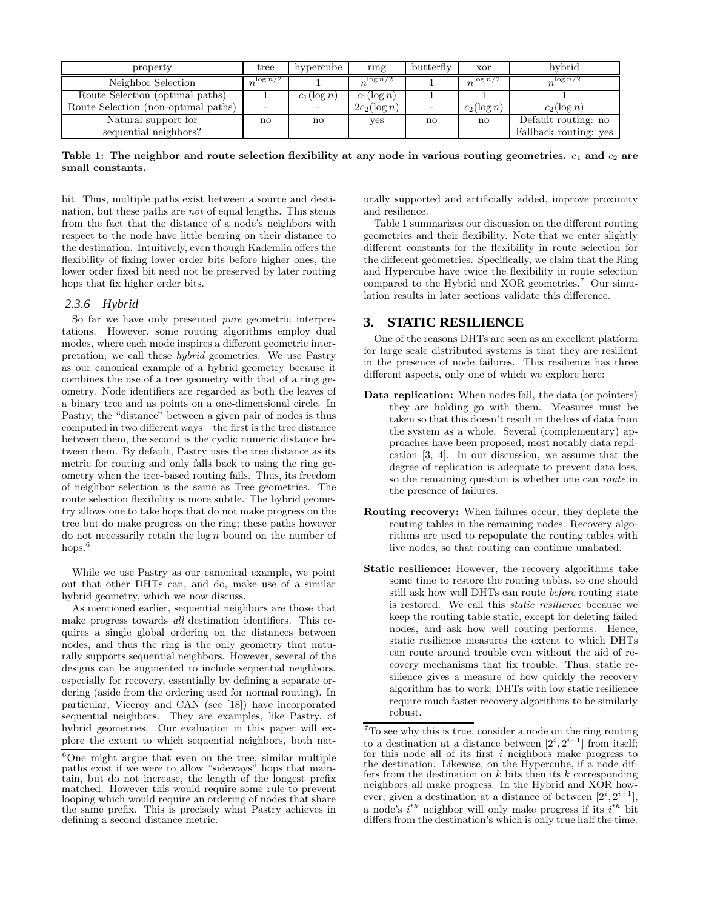| property                            | tree           | hypercube     | ring           | butterfly | xor            | hybrid                |
|-------------------------------------|----------------|---------------|----------------|-----------|----------------|-----------------------|
| Neighbor Selection                  | $n^{\log n/2}$ |               | $n^{\log n/2}$ |           | $n^{\log n/2}$ | $n^{\log n/2}$        |
| Route Selection (optimal paths)     |                | $c_1(\log n)$ | $c_1(\log n)$  |           |                |                       |
| Route Selection (non-optimal paths) |                |               | $2c_2(\log n)$ |           | $c_2(\log n)$  | $c_2(\log n)$         |
| Natural support for                 | $\mathbf{n}$   | no            | yes            | no        | $\mathbf{n}$   | Default routing: no   |
| sequential neighbors?               |                |               |                |           |                | Fallback routing: yes |

Table 1: The neighbor and route selection flexibility at any node in various routing geometries.  $c_1$  and  $c_2$  are small constants.

bit. Thus, multiple paths exist between a source and destination, but these paths are not of equal lengths. This stems from the fact that the distance of a node's neighbors with respect to the node have little bearing on their distance to the destination. Intuitively, even though Kademlia offers the flexibility of fixing lower order bits before higher ones, the lower order fixed bit need not be preserved by later routing hops that fix higher order bits.

## *2.3.6 Hybrid*

So far we have only presented pure geometric interpretations. However, some routing algorithms employ dual modes, where each mode inspires a different geometric interpretation; we call these hybrid geometries. We use Pastry as our canonical example of a hybrid geometry because it combines the use of a tree geometry with that of a ring geometry. Node identifiers are regarded as both the leaves of a binary tree and as points on a one-dimensional circle. In Pastry, the "distance" between a given pair of nodes is thus computed in two different ways – the first is the tree distance between them, the second is the cyclic numeric distance between them. By default, Pastry uses the tree distance as its metric for routing and only falls back to using the ring geometry when the tree-based routing fails. Thus, its freedom of neighbor selection is the same as Tree geometries. The route selection flexibility is more subtle. The hybrid geometry allows one to take hops that do not make progress on the tree but do make progress on the ring; these paths however do not necessarily retain the  $\log n$  bound on the number of hops.<sup>6</sup>

While we use Pastry as our canonical example, we point out that other DHTs can, and do, make use of a similar hybrid geometry, which we now discuss.

As mentioned earlier, sequential neighbors are those that make progress towards all destination identifiers. This requires a single global ordering on the distances between nodes, and thus the ring is the only geometry that naturally supports sequential neighbors. However, several of the designs can be augmented to include sequential neighbors, especially for recovery, essentially by defining a separate ordering (aside from the ordering used for normal routing). In particular, Viceroy and CAN (see [18]) have incorporated sequential neighbors. They are examples, like Pastry, of hybrid geometries. Our evaluation in this paper will explore the extent to which sequential neighbors, both nat-

urally supported and artificially added, improve proximity and resilience.

Table 1 summarizes our discussion on the different routing geometries and their flexibility. Note that we enter slightly different constants for the flexibility in route selection for the different geometries. Specifically, we claim that the Ring and Hypercube have twice the flexibility in route selection compared to the Hybrid and XOR geometries.<sup>7</sup> Our simulation results in later sections validate this difference.

# **3. STATIC RESILIENCE**

One of the reasons DHTs are seen as an excellent platform for large scale distributed systems is that they are resilient in the presence of node failures. This resilience has three different aspects, only one of which we explore here:

- Data replication: When nodes fail, the data (or pointers) they are holding go with them. Measures must be taken so that this doesn't result in the loss of data from the system as a whole. Several (complementary) approaches have been proposed, most notably data replication [3, 4]. In our discussion, we assume that the degree of replication is adequate to prevent data loss, so the remaining question is whether one can route in the presence of failures.
- Routing recovery: When failures occur, they deplete the routing tables in the remaining nodes. Recovery algorithms are used to repopulate the routing tables with live nodes, so that routing can continue unabated.
- Static resilience: However, the recovery algorithms take some time to restore the routing tables, so one should still ask how well DHTs can route before routing state is restored. We call this static resilience because we keep the routing table static, except for deleting failed nodes, and ask how well routing performs. Hence, static resilience measures the extent to which DHTs can route around trouble even without the aid of recovery mechanisms that fix trouble. Thus, static resilience gives a measure of how quickly the recovery algorithm has to work; DHTs with low static resilience require much faster recovery algorithms to be similarly robust.

<sup>6</sup>One might argue that even on the tree, similar multiple paths exist if we were to allow "sideways" hops that maintain, but do not increase, the length of the longest prefix matched. However this would require some rule to prevent looping which would require an ordering of nodes that share the same prefix. This is precisely what Pastry achieves in defining a second distance metric.

<sup>7</sup>To see why this is true, consider a node on the ring routing to a destination at a distance between  $[2^i, 2^{i+1}]$  from itself; for this node all of its first  $i$  neighbors make progress to the destination. Likewise, on the Hypercube, if a node differs from the destination on  $k$  bits then its  $k$  corresponding neighbors all make progress. In the Hybrid and XOR however, given a destination at a distance of between  $[2^i, 2^{i+1}]$ , a node's  $i^{th}$  neighbor will only make progress if its  $i^{th}$  bit differs from the destination's which is only true half the time.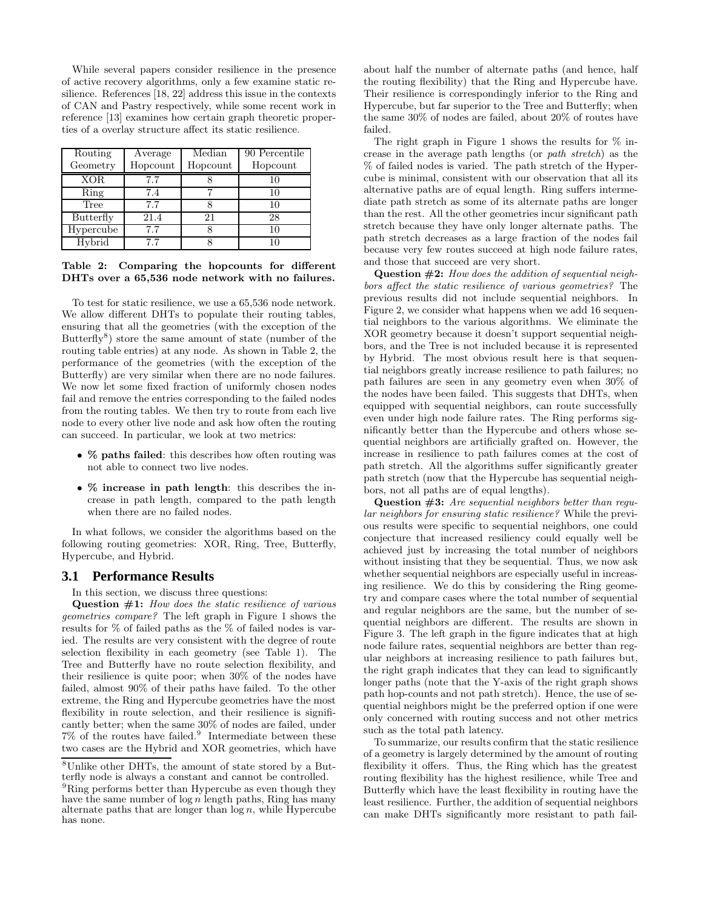While several papers consider resilience in the presence of active recovery algorithms, only a few examine static resilience. References [18, 22] address this issue in the contexts of CAN and Pastry respectively, while some recent work in reference [13] examines how certain graph theoretic properties of a overlay structure affect its static resilience.

| Routing<br>Geometry | Average<br>Hopcount | Median<br>Hopcount | 90 Percentile<br>Hopcount |
|---------------------|---------------------|--------------------|---------------------------|
| XOR.                | 7.7                 |                    | 10                        |
| Ring                | 7.4                 |                    | 10                        |
| Tree                | 7.7                 |                    | 10                        |
| Butterfly           | 21.4                | 21                 | 28                        |
| Hypercube           | 7.7                 |                    | 10                        |
| Hybrid              | 77                  |                    |                           |

#### Table 2: Comparing the hopcounts for different DHTs over a 65,536 node network with no failures.

To test for static resilience, we use a 65,536 node network. We allow different DHTs to populate their routing tables, ensuring that all the geometries (with the exception of the Butterfly<sup>8</sup>) store the same amount of state (number of the routing table entries) at any node. As shown in Table 2, the performance of the geometries (with the exception of the Butterfly) are very similar when there are no node failures. We now let some fixed fraction of uniformly chosen nodes fail and remove the entries corresponding to the failed nodes from the routing tables. We then try to route from each live node to every other live node and ask how often the routing can succeed. In particular, we look at two metrics:

- % paths failed: this describes how often routing was not able to connect two live nodes.
- % increase in path length: this describes the increase in path length, compared to the path length when there are no failed nodes.

In what follows, we consider the algorithms based on the following routing geometries: XOR, Ring, Tree, Butterfly, Hypercube, and Hybrid.

## **3.1 Performance Results**

In this section, we discuss three questions:

**Question**  $#1$ : How does the static resilience of various geometries compare? The left graph in Figure 1 shows the results for % of failed paths as the % of failed nodes is varied. The results are very consistent with the degree of route selection flexibility in each geometry (see Table 1). The Tree and Butterfly have no route selection flexibility, and their resilience is quite poor; when 30% of the nodes have failed, almost 90% of their paths have failed. To the other extreme, the Ring and Hypercube geometries have the most flexibility in route selection, and their resilience is significantly better; when the same 30% of nodes are failed, under  $7\%$  of the routes have failed.<sup>9</sup> Intermediate between these two cases are the Hybrid and XOR geometries, which have

about half the number of alternate paths (and hence, half the routing flexibility) that the Ring and Hypercube have. Their resilience is correspondingly inferior to the Ring and Hypercube, but far superior to the Tree and Butterfly; when the same 30% of nodes are failed, about 20% of routes have failed.

The right graph in Figure 1 shows the results for % increase in the average path lengths (or path stretch) as the % of failed nodes is varied. The path stretch of the Hypercube is minimal, consistent with our observation that all its alternative paths are of equal length. Ring suffers intermediate path stretch as some of its alternate paths are longer than the rest. All the other geometries incur significant path stretch because they have only longer alternate paths. The path stretch decreases as a large fraction of the nodes fail because very few routes succeed at high node failure rates, and those that succeed are very short.

Question  $#2$ : How does the addition of sequential neighbors affect the static resilience of various geometries? The previous results did not include sequential neighbors. In Figure 2, we consider what happens when we add 16 sequential neighbors to the various algorithms. We eliminate the XOR geometry because it doesn't support sequential neighbors, and the Tree is not included because it is represented by Hybrid. The most obvious result here is that sequential neighbors greatly increase resilience to path failures; no path failures are seen in any geometry even when 30% of the nodes have been failed. This suggests that DHTs, when equipped with sequential neighbors, can route successfully even under high node failure rates. The Ring performs significantly better than the Hypercube and others whose sequential neighbors are artificially grafted on. However, the increase in resilience to path failures comes at the cost of path stretch. All the algorithms suffer significantly greater path stretch (now that the Hypercube has sequential neighbors, not all paths are of equal lengths).

**Question**  $#3$ **:** Are sequential neighbors better than reqular neighbors for ensuring static resilience? While the previous results were specific to sequential neighbors, one could conjecture that increased resiliency could equally well be achieved just by increasing the total number of neighbors without insisting that they be sequential. Thus, we now ask whether sequential neighbors are especially useful in increasing resilience. We do this by considering the Ring geometry and compare cases where the total number of sequential and regular neighbors are the same, but the number of sequential neighbors are different. The results are shown in Figure 3. The left graph in the figure indicates that at high node failure rates, sequential neighbors are better than regular neighbors at increasing resilience to path failures but, the right graph indicates that they can lead to significantly longer paths (note that the Y-axis of the right graph shows path hop-counts and not path stretch). Hence, the use of sequential neighbors might be the preferred option if one were only concerned with routing success and not other metrics such as the total path latency.

To summarize, our results confirm that the static resilience of a geometry is largely determined by the amount of routing flexibility it offers. Thus, the Ring which has the greatest routing flexibility has the highest resilience, while Tree and Butterfly which have the least flexibility in routing have the least resilience. Further, the addition of sequential neighbors can make DHTs significantly more resistant to path fail-

<sup>8</sup>Unlike other DHTs, the amount of state stored by a Butterfly node is always a constant and cannot be controlled.

<sup>&</sup>lt;sup>9</sup>Ring performs better than Hypercube as even though they have the same number of  $\log n$  length paths, Ring has many alternate paths that are longer than  $\log n$ , while Hypercube has none.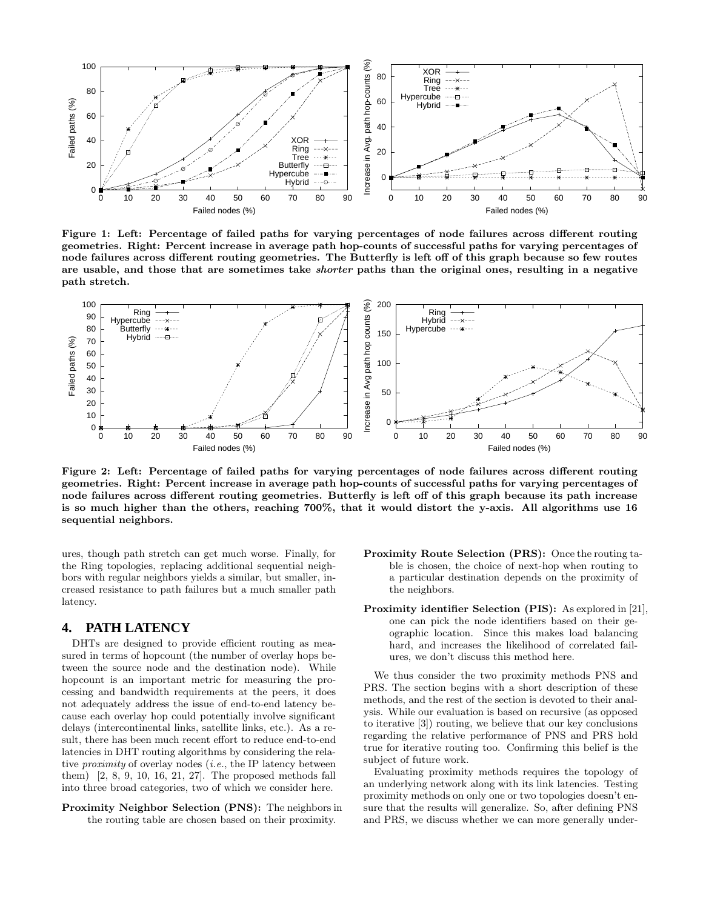

Figure 1: Left: Percentage of failed paths for varying percentages of node failures across different routing geometries. Right: Percent increase in average path hop-counts of successful paths for varying percentages of node failures across different routing geometries. The Butterfly is left off of this graph because so few routes are usable, and those that are sometimes take *shorter* paths than the original ones, resulting in a negative path stretch.



Figure 2: Left: Percentage of failed paths for varying percentages of node failures across different routing geometries. Right: Percent increase in average path hop-counts of successful paths for varying percentages of node failures across different routing geometries. Butterfly is left off of this graph because its path increase is so much higher than the others, reaching 700%, that it would distort the y-axis. All algorithms use 16 sequential neighbors.

ures, though path stretch can get much worse. Finally, for the Ring topologies, replacing additional sequential neighbors with regular neighbors yields a similar, but smaller, increased resistance to path failures but a much smaller path latency.

## **4. PATH LATENCY**

DHTs are designed to provide efficient routing as measured in terms of hopcount (the number of overlay hops between the source node and the destination node). While hopcount is an important metric for measuring the processing and bandwidth requirements at the peers, it does not adequately address the issue of end-to-end latency because each overlay hop could potentially involve significant delays (intercontinental links, satellite links, etc.). As a result, there has been much recent effort to reduce end-to-end latencies in DHT routing algorithms by considering the relative proximity of overlay nodes (i.e., the IP latency between them) [2, 8, 9, 10, 16, 21, 27]. The proposed methods fall into three broad categories, two of which we consider here.

Proximity Neighbor Selection (PNS): The neighbors in the routing table are chosen based on their proximity.

- Proximity Route Selection (PRS): Once the routing table is chosen, the choice of next-hop when routing to a particular destination depends on the proximity of the neighbors.
- Proximity identifier Selection (PIS): As explored in [21], one can pick the node identifiers based on their geographic location. Since this makes load balancing hard, and increases the likelihood of correlated failures, we don't discuss this method here.

We thus consider the two proximity methods PNS and PRS. The section begins with a short description of these methods, and the rest of the section is devoted to their analysis. While our evaluation is based on recursive (as opposed to iterative [3]) routing, we believe that our key conclusions regarding the relative performance of PNS and PRS hold true for iterative routing too. Confirming this belief is the subject of future work.

Evaluating proximity methods requires the topology of an underlying network along with its link latencies. Testing proximity methods on only one or two topologies doesn't ensure that the results will generalize. So, after defining PNS and PRS, we discuss whether we can more generally under-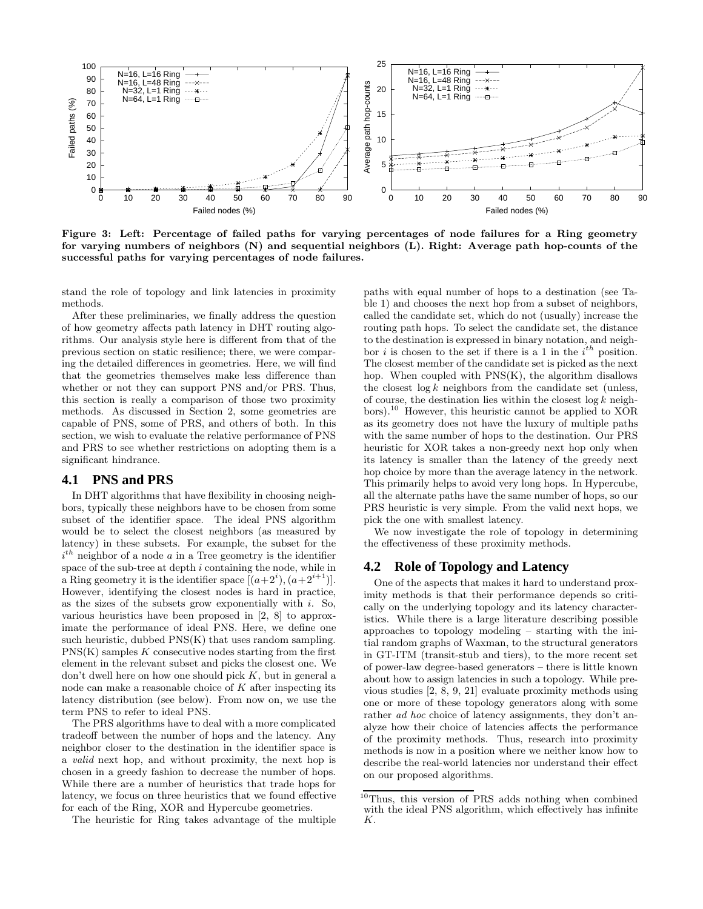

Figure 3: Left: Percentage of failed paths for varying percentages of node failures for a Ring geometry for varying numbers of neighbors (N) and sequential neighbors (L). Right: Average path hop-counts of the successful paths for varying percentages of node failures.

stand the role of topology and link latencies in proximity methods.

After these preliminaries, we finally address the question of how geometry affects path latency in DHT routing algorithms. Our analysis style here is different from that of the previous section on static resilience; there, we were comparing the detailed differences in geometries. Here, we will find that the geometries themselves make less difference than whether or not they can support PNS and/or PRS. Thus, this section is really a comparison of those two proximity methods. As discussed in Section 2, some geometries are capable of PNS, some of PRS, and others of both. In this section, we wish to evaluate the relative performance of PNS and PRS to see whether restrictions on adopting them is a significant hindrance.

## **4.1 PNS and PRS**

In DHT algorithms that have flexibility in choosing neighbors, typically these neighbors have to be chosen from some subset of the identifier space. The ideal PNS algorithm would be to select the closest neighbors (as measured by latency) in these subsets. For example, the subset for the  $i^{th}$  neighbor of a node a in a Tree geometry is the identifier space of the sub-tree at depth  $i$  containing the node, while in a Ring geometry it is the identifier space  $[(a+2^i), (a+2^{i+1})]$ . However, identifying the closest nodes is hard in practice, as the sizes of the subsets grow exponentially with  $i$ . So, various heuristics have been proposed in [2, 8] to approximate the performance of ideal PNS. Here, we define one such heuristic, dubbed  $PNS(K)$  that uses random sampling.  $PNS(K)$  samples K consecutive nodes starting from the first element in the relevant subset and picks the closest one. We don't dwell here on how one should pick K, but in general a node can make a reasonable choice of  $K$  after inspecting its latency distribution (see below). From now on, we use the term PNS to refer to ideal PNS.

The PRS algorithms have to deal with a more complicated tradeoff between the number of hops and the latency. Any neighbor closer to the destination in the identifier space is a valid next hop, and without proximity, the next hop is chosen in a greedy fashion to decrease the number of hops. While there are a number of heuristics that trade hops for latency, we focus on three heuristics that we found effective for each of the Ring, XOR and Hypercube geometries.

The heuristic for Ring takes advantage of the multiple

paths with equal number of hops to a destination (see Table 1) and chooses the next hop from a subset of neighbors, called the candidate set, which do not (usually) increase the routing path hops. To select the candidate set, the distance to the destination is expressed in binary notation, and neighbor *i* is chosen to the set if there is a 1 in the  $i^{th}$  position. The closest member of the candidate set is picked as the next hop. When coupled with  $PNS(K)$ , the algorithm disallows the closest  $\log k$  neighbors from the candidate set (unless, of course, the destination lies within the closest  $\log k$  neighbors).<sup>10</sup> However, this heuristic cannot be applied to XOR as its geometry does not have the luxury of multiple paths with the same number of hops to the destination. Our PRS heuristic for XOR takes a non-greedy next hop only when its latency is smaller than the latency of the greedy next hop choice by more than the average latency in the network. This primarily helps to avoid very long hops. In Hypercube, all the alternate paths have the same number of hops, so our PRS heuristic is very simple. From the valid next hops, we pick the one with smallest latency.

We now investigate the role of topology in determining the effectiveness of these proximity methods.

## **4.2 Role of Topology and Latency**

One of the aspects that makes it hard to understand proximity methods is that their performance depends so critically on the underlying topology and its latency characteristics. While there is a large literature describing possible approaches to topology modeling – starting with the initial random graphs of Waxman, to the structural generators in GT-ITM (transit-stub and tiers), to the more recent set of power-law degree-based generators – there is little known about how to assign latencies in such a topology. While previous studies [2, 8, 9, 21] evaluate proximity methods using one or more of these topology generators along with some rather ad hoc choice of latency assignments, they don't analyze how their choice of latencies affects the performance of the proximity methods. Thus, research into proximity methods is now in a position where we neither know how to describe the real-world latencies nor understand their effect on our proposed algorithms.

<sup>10</sup>Thus, this version of PRS adds nothing when combined with the ideal PNS algorithm, which effectively has infinite K.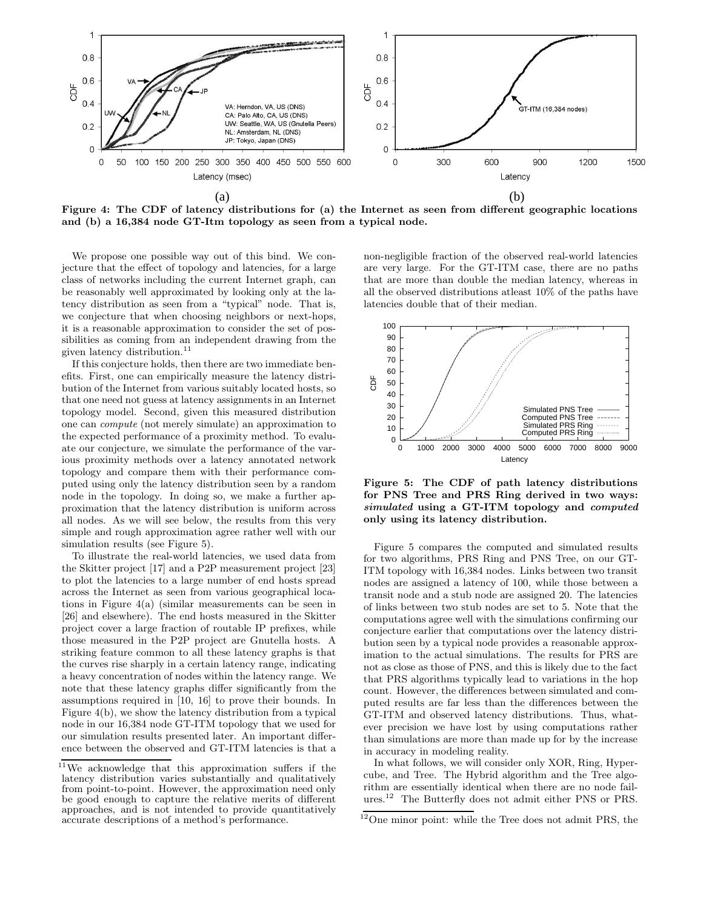

Figure 4: The CDF of latency distributions for (a) the Internet as seen from different geographic locations and (b) a 16,384 node GT-Itm topology as seen from a typical node.

We propose one possible way out of this bind. We conjecture that the effect of topology and latencies, for a large class of networks including the current Internet graph, can be reasonably well approximated by looking only at the latency distribution as seen from a "typical" node. That is, we conjecture that when choosing neighbors or next-hops, it is a reasonable approximation to consider the set of possibilities as coming from an independent drawing from the given latency distribution.<sup>11</sup>

If this conjecture holds, then there are two immediate benefits. First, one can empirically measure the latency distribution of the Internet from various suitably located hosts, so that one need not guess at latency assignments in an Internet topology model. Second, given this measured distribution one can compute (not merely simulate) an approximation to the expected performance of a proximity method. To evaluate our conjecture, we simulate the performance of the various proximity methods over a latency annotated network topology and compare them with their performance computed using only the latency distribution seen by a random node in the topology. In doing so, we make a further approximation that the latency distribution is uniform across all nodes. As we will see below, the results from this very simple and rough approximation agree rather well with our simulation results (see Figure 5).

To illustrate the real-world latencies, we used data from the Skitter project [17] and a P2P measurement project [23] to plot the latencies to a large number of end hosts spread across the Internet as seen from various geographical locations in Figure 4(a) (similar measurements can be seen in [26] and elsewhere). The end hosts measured in the Skitter project cover a large fraction of routable IP prefixes, while those measured in the P2P project are Gnutella hosts. A striking feature common to all these latency graphs is that the curves rise sharply in a certain latency range, indicating a heavy concentration of nodes within the latency range. We note that these latency graphs differ significantly from the assumptions required in [10, 16] to prove their bounds. In Figure 4(b), we show the latency distribution from a typical node in our 16,384 node GT-ITM topology that we used for our simulation results presented later. An important difference between the observed and GT-ITM latencies is that a

non-negligible fraction of the observed real-world latencies are very large. For the GT-ITM case, there are no paths that are more than double the median latency, whereas in all the observed distributions atleast 10% of the paths have latencies double that of their median.



Figure 5: The CDF of path latency distributions for PNS Tree and PRS Ring derived in two ways: simulated using a GT-ITM topology and computed only using its latency distribution.

Figure 5 compares the computed and simulated results for two algorithms, PRS Ring and PNS Tree, on our GT-ITM topology with 16,384 nodes. Links between two transit nodes are assigned a latency of 100, while those between a transit node and a stub node are assigned 20. The latencies of links between two stub nodes are set to 5. Note that the computations agree well with the simulations confirming our conjecture earlier that computations over the latency distribution seen by a typical node provides a reasonable approximation to the actual simulations. The results for PRS are not as close as those of PNS, and this is likely due to the fact that PRS algorithms typically lead to variations in the hop count. However, the differences between simulated and computed results are far less than the differences between the GT-ITM and observed latency distributions. Thus, whatever precision we have lost by using computations rather than simulations are more than made up for by the increase in accuracy in modeling reality.

In what follows, we will consider only XOR, Ring, Hypercube, and Tree. The Hybrid algorithm and the Tree algorithm are essentially identical when there are no node failures.<sup>12</sup> The Butterfly does not admit either PNS or PRS.

<sup>11</sup>We acknowledge that this approximation suffers if the latency distribution varies substantially and qualitatively from point-to-point. However, the approximation need only be good enough to capture the relative merits of different approaches, and is not intended to provide quantitatively accurate descriptions of a method's performance.

<sup>12</sup>One minor point: while the Tree does not admit PRS, the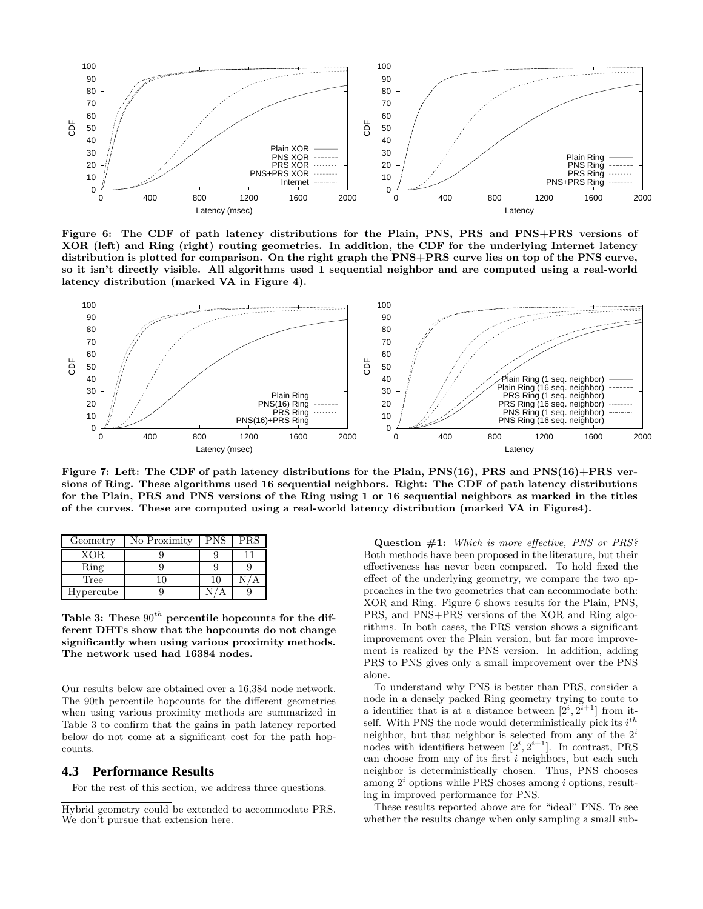

Figure 6: The CDF of path latency distributions for the Plain, PNS, PRS and PNS+PRS versions of XOR (left) and Ring (right) routing geometries. In addition, the CDF for the underlying Internet latency distribution is plotted for comparison. On the right graph the PNS+PRS curve lies on top of the PNS curve, so it isn't directly visible. All algorithms used 1 sequential neighbor and are computed using a real-world latency distribution (marked VA in Figure 4).



Figure 7: Left: The CDF of path latency distributions for the Plain, PNS(16), PRS and PNS(16)+PRS versions of Ring. These algorithms used 16 sequential neighbors. Right: The CDF of path latency distributions for the Plain, PRS and PNS versions of the Ring using 1 or 16 sequential neighbors as marked in the titles of the curves. These are computed using a real-world latency distribution (marked VA in Figure4).

| Geometry  | No Proximity | PNS. | PRS |
|-----------|--------------|------|-----|
| XOR       |              |      |     |
| Ring      |              |      |     |
| Tree      |              | 10   |     |
| Hypercube |              |      |     |

Table 3: These  $90^{th}$  percentile hopcounts for the different DHTs show that the hopcounts do not change significantly when using various proximity methods. The network used had 16384 nodes.

Our results below are obtained over a 16,384 node network. The 90th percentile hopcounts for the different geometries when using various proximity methods are summarized in Table 3 to confirm that the gains in path latency reported below do not come at a significant cost for the path hopcounts.

## **4.3 Performance Results**

For the rest of this section, we address three questions.

Question #1: Which is more effective, PNS or PRS? Both methods have been proposed in the literature, but their effectiveness has never been compared. To hold fixed the effect of the underlying geometry, we compare the two approaches in the two geometries that can accommodate both: XOR and Ring. Figure 6 shows results for the Plain, PNS, PRS, and PNS+PRS versions of the XOR and Ring algorithms. In both cases, the PRS version shows a significant improvement over the Plain version, but far more improvement is realized by the PNS version. In addition, adding PRS to PNS gives only a small improvement over the PNS alone.

To understand why PNS is better than PRS, consider a node in a densely packed Ring geometry trying to route to a identifier that is at a distance between  $[2^i, 2^{i+1}]$  from itself. With PNS the node would deterministically pick its  $i^{th}$ neighbor, but that neighbor is selected from any of the  $2<sup>i</sup>$ nodes with identifiers between  $[2^i, 2^{i+1}]$ . In contrast, PRS can choose from any of its first  $i$  neighbors, but each such neighbor is deterministically chosen. Thus, PNS chooses among  $2<sup>i</sup>$  options while PRS choses among i options, resulting in improved performance for PNS.

These results reported above are for "ideal" PNS. To see whether the results change when only sampling a small sub-

Hybrid geometry could be extended to accommodate PRS. We don't pursue that extension here.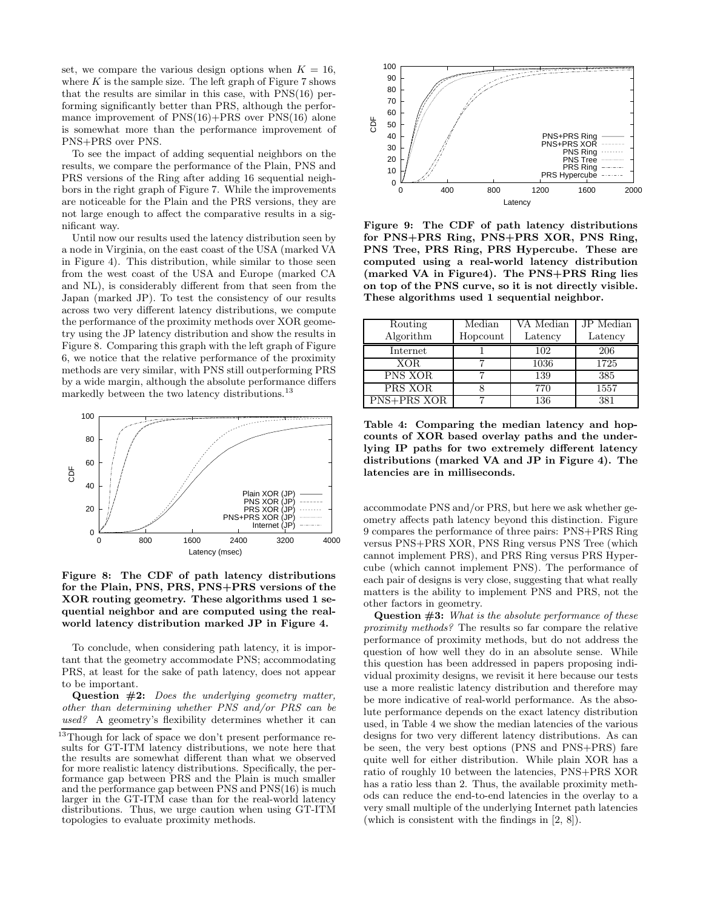set, we compare the various design options when  $K = 16$ , where  $K$  is the sample size. The left graph of Figure 7 shows that the results are similar in this case, with PNS(16) performing significantly better than PRS, although the performance improvement of  $PNS(16)+PRS$  over  $PNS(16)$  alone is somewhat more than the performance improvement of PNS+PRS over PNS.

To see the impact of adding sequential neighbors on the results, we compare the performance of the Plain, PNS and PRS versions of the Ring after adding 16 sequential neighbors in the right graph of Figure 7. While the improvements are noticeable for the Plain and the PRS versions, they are not large enough to affect the comparative results in a significant way.

Until now our results used the latency distribution seen by a node in Virginia, on the east coast of the USA (marked VA in Figure 4). This distribution, while similar to those seen from the west coast of the USA and Europe (marked CA and NL), is considerably different from that seen from the Japan (marked JP). To test the consistency of our results across two very different latency distributions, we compute the performance of the proximity methods over XOR geometry using the JP latency distribution and show the results in Figure 8. Comparing this graph with the left graph of Figure 6, we notice that the relative performance of the proximity methods are very similar, with PNS still outperforming PRS by a wide margin, although the absolute performance differs markedly between the two latency distributions.<sup>13</sup>



Figure 8: The CDF of path latency distributions for the Plain, PNS, PRS, PNS+PRS versions of the XOR routing geometry. These algorithms used 1 sequential neighbor and are computed using the realworld latency distribution marked JP in Figure 4.

To conclude, when considering path latency, it is important that the geometry accommodate PNS; accommodating PRS, at least for the sake of path latency, does not appear to be important.

**Question**  $#2$ **:** Does the underlying geometry matter, other than determining whether PNS and/or PRS can be used? A geometry's flexibility determines whether it can



Figure 9: The CDF of path latency distributions for PNS+PRS Ring, PNS+PRS XOR, PNS Ring, PNS Tree, PRS Ring, PRS Hypercube. These are computed using a real-world latency distribution (marked VA in Figure4). The PNS+PRS Ring lies on top of the PNS curve, so it is not directly visible. These algorithms used 1 sequential neighbor.

| Routing<br>Algorithm | Median<br>Hopcount | VA Median<br>Latency | JP Median<br>Latency |
|----------------------|--------------------|----------------------|----------------------|
| Internet             |                    | 102                  | 206                  |
| XOR.                 |                    | 1036                 | 1725                 |
| PNS XOR              |                    | 139                  | 385                  |
| PRS XOR              |                    | 770                  | 1557                 |
| <b>PNS+PRS XOR</b>   |                    | 136                  | 381                  |

Table 4: Comparing the median latency and hopcounts of XOR based overlay paths and the underlying IP paths for two extremely different latency distributions (marked VA and JP in Figure 4). The latencies are in milliseconds.

accommodate PNS and/or PRS, but here we ask whether geometry affects path latency beyond this distinction. Figure 9 compares the performance of three pairs: PNS+PRS Ring versus PNS+PRS XOR, PNS Ring versus PNS Tree (which cannot implement PRS), and PRS Ring versus PRS Hypercube (which cannot implement PNS). The performance of each pair of designs is very close, suggesting that what really matters is the ability to implement PNS and PRS, not the other factors in geometry.

**Question**  $#3$ **:** What is the absolute performance of these proximity methods? The results so far compare the relative performance of proximity methods, but do not address the question of how well they do in an absolute sense. While this question has been addressed in papers proposing individual proximity designs, we revisit it here because our tests use a more realistic latency distribution and therefore may be more indicative of real-world performance. As the absolute performance depends on the exact latency distribution used, in Table 4 we show the median latencies of the various designs for two very different latency distributions. As can be seen, the very best options (PNS and PNS+PRS) fare quite well for either distribution. While plain XOR has a ratio of roughly 10 between the latencies, PNS+PRS XOR has a ratio less than 2. Thus, the available proximity methods can reduce the end-to-end latencies in the overlay to a very small multiple of the underlying Internet path latencies (which is consistent with the findings in [2, 8]).

<sup>&</sup>lt;sup>13</sup>Though for lack of space we don't present performance results for GT-ITM latency distributions, we note here that the results are somewhat different than what we observed for more realistic latency distributions. Specifically, the performance gap between PRS and the Plain is much smaller and the performance gap between PNS and PNS(16) is much larger in the GT-ITM case than for the real-world latency distributions. Thus, we urge caution when using GT-ITM topologies to evaluate proximity methods.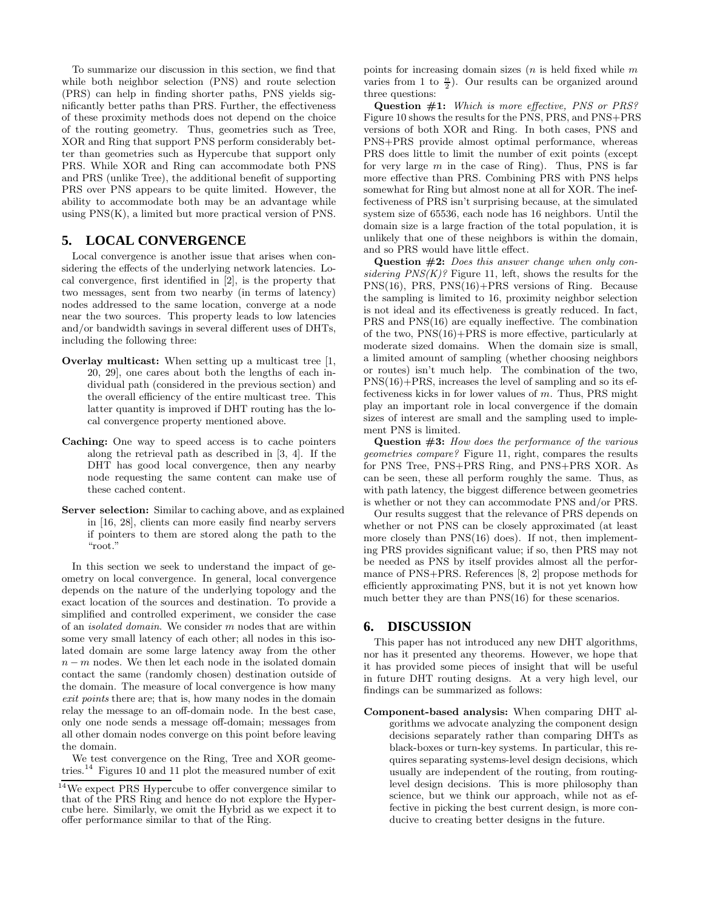To summarize our discussion in this section, we find that while both neighbor selection (PNS) and route selection (PRS) can help in finding shorter paths, PNS yields significantly better paths than PRS. Further, the effectiveness of these proximity methods does not depend on the choice of the routing geometry. Thus, geometries such as Tree, XOR and Ring that support PNS perform considerably better than geometries such as Hypercube that support only PRS. While XOR and Ring can accommodate both PNS and PRS (unlike Tree), the additional benefit of supporting PRS over PNS appears to be quite limited. However, the ability to accommodate both may be an advantage while using  $PNS(K)$ , a limited but more practical version of PNS.

# **5. LOCAL CONVERGENCE**

Local convergence is another issue that arises when considering the effects of the underlying network latencies. Local convergence, first identified in [2], is the property that two messages, sent from two nearby (in terms of latency) nodes addressed to the same location, converge at a node near the two sources. This property leads to low latencies and/or bandwidth savings in several different uses of DHTs, including the following three:

- Overlay multicast: When setting up a multicast tree [1, 20, 29], one cares about both the lengths of each individual path (considered in the previous section) and the overall efficiency of the entire multicast tree. This latter quantity is improved if DHT routing has the local convergence property mentioned above.
- Caching: One way to speed access is to cache pointers along the retrieval path as described in [3, 4]. If the DHT has good local convergence, then any nearby node requesting the same content can make use of these cached content.
- Server selection: Similar to caching above, and as explained in [16, 28], clients can more easily find nearby servers if pointers to them are stored along the path to the "root."

In this section we seek to understand the impact of geometry on local convergence. In general, local convergence depends on the nature of the underlying topology and the exact location of the sources and destination. To provide a simplified and controlled experiment, we consider the case of an isolated domain. We consider m nodes that are within some very small latency of each other; all nodes in this isolated domain are some large latency away from the other  $n - m$  nodes. We then let each node in the isolated domain contact the same (randomly chosen) destination outside of the domain. The measure of local convergence is how many exit points there are; that is, how many nodes in the domain relay the message to an off-domain node. In the best case, only one node sends a message off-domain; messages from all other domain nodes converge on this point before leaving the domain.

We test convergence on the Ring, Tree and XOR geometries.<sup>14</sup> Figures 10 and 11 plot the measured number of exit points for increasing domain sizes  $(n$  is held fixed while  $m$ varies from 1 to  $\frac{n}{2}$ ). Our results can be organized around three questions:

Question  $\#1$ : Which is more effective, PNS or PRS? Figure 10 shows the results for the PNS, PRS, and PNS+PRS versions of both XOR and Ring. In both cases, PNS and PNS+PRS provide almost optimal performance, whereas PRS does little to limit the number of exit points (except for very large  $m$  in the case of Ring). Thus, PNS is far more effective than PRS. Combining PRS with PNS helps somewhat for Ring but almost none at all for XOR. The ineffectiveness of PRS isn't surprising because, at the simulated system size of 65536, each node has 16 neighbors. Until the domain size is a large fraction of the total population, it is unlikely that one of these neighbors is within the domain, and so PRS would have little effect.

Question  $#2$ : Does this answer change when only considering  $PNS(K)$ ? Figure 11, left, shows the results for the PNS(16), PRS, PNS(16)+PRS versions of Ring. Because the sampling is limited to 16, proximity neighbor selection is not ideal and its effectiveness is greatly reduced. In fact, PRS and PNS(16) are equally ineffective. The combination of the two, PNS(16)+PRS is more effective, particularly at moderate sized domains. When the domain size is small, a limited amount of sampling (whether choosing neighbors or routes) isn't much help. The combination of the two, PNS(16)+PRS, increases the level of sampling and so its effectiveness kicks in for lower values of m. Thus, PRS might play an important role in local convergence if the domain sizes of interest are small and the sampling used to implement PNS is limited.

**Question**  $#3$ **:** How does the performance of the various geometries compare? Figure 11, right, compares the results for PNS Tree, PNS+PRS Ring, and PNS+PRS XOR. As can be seen, these all perform roughly the same. Thus, as with path latency, the biggest difference between geometries is whether or not they can accommodate PNS and/or PRS.

Our results suggest that the relevance of PRS depends on whether or not PNS can be closely approximated (at least more closely than  $PNS(16)$  does). If not, then implementing PRS provides significant value; if so, then PRS may not be needed as PNS by itself provides almost all the performance of PNS+PRS. References [8, 2] propose methods for efficiently approximating PNS, but it is not yet known how much better they are than PNS(16) for these scenarios.

## **6. DISCUSSION**

This paper has not introduced any new DHT algorithms, nor has it presented any theorems. However, we hope that it has provided some pieces of insight that will be useful in future DHT routing designs. At a very high level, our findings can be summarized as follows:

Component-based analysis: When comparing DHT algorithms we advocate analyzing the component design decisions separately rather than comparing DHTs as black-boxes or turn-key systems. In particular, this requires separating systems-level design decisions, which usually are independent of the routing, from routinglevel design decisions. This is more philosophy than science, but we think our approach, while not as effective in picking the best current design, is more conducive to creating better designs in the future.

<sup>&</sup>lt;sup>14</sup>We expect PRS Hypercube to offer convergence similar to that of the PRS Ring and hence do not explore the Hypercube here. Similarly, we omit the Hybrid as we expect it to offer performance similar to that of the Ring.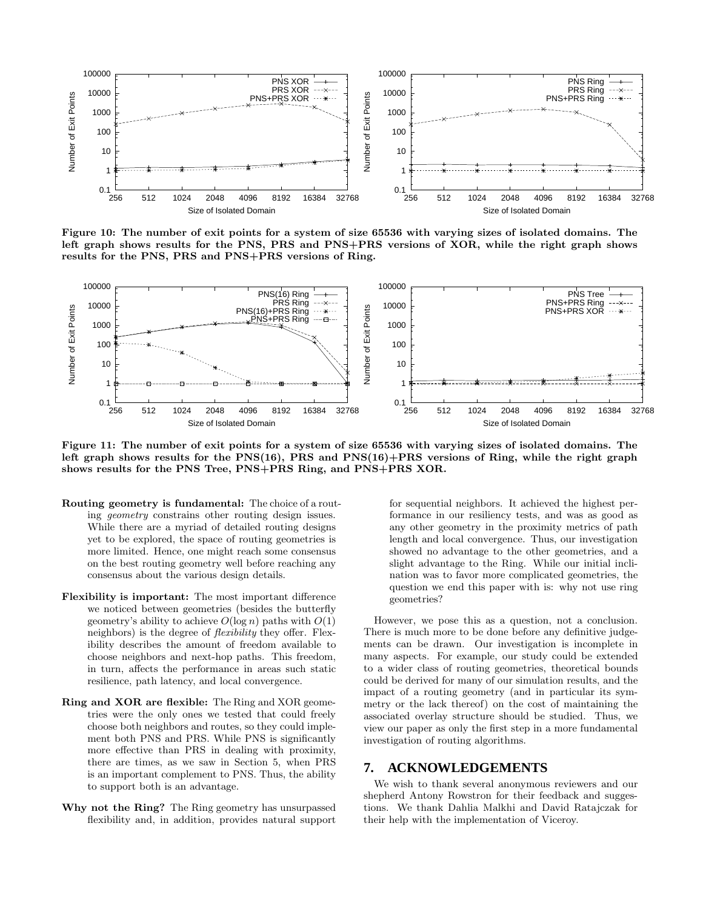

Figure 10: The number of exit points for a system of size 65536 with varying sizes of isolated domains. The left graph shows results for the PNS, PRS and PNS+PRS versions of XOR, while the right graph shows results for the PNS, PRS and PNS+PRS versions of Ring.



Figure 11: The number of exit points for a system of size 65536 with varying sizes of isolated domains. The left graph shows results for the  $PNS(16)$ , PRS and  $PNS(16)$ +PRS versions of Ring, while the right graph shows results for the PNS Tree, PNS+PRS Ring, and PNS+PRS XOR.

- Routing geometry is fundamental: The choice of a routing geometry constrains other routing design issues. While there are a myriad of detailed routing designs yet to be explored, the space of routing geometries is more limited. Hence, one might reach some consensus on the best routing geometry well before reaching any consensus about the various design details.
- Flexibility is important: The most important difference we noticed between geometries (besides the butterfly geometry's ability to achieve  $O(\log n)$  paths with  $O(1)$ neighbors) is the degree of *flexibility* they offer. Flexibility describes the amount of freedom available to choose neighbors and next-hop paths. This freedom, in turn, affects the performance in areas such static resilience, path latency, and local convergence.
- Ring and XOR are flexible: The Ring and XOR geometries were the only ones we tested that could freely choose both neighbors and routes, so they could implement both PNS and PRS. While PNS is significantly more effective than PRS in dealing with proximity, there are times, as we saw in Section 5, when PRS is an important complement to PNS. Thus, the ability to support both is an advantage.
- Why not the Ring? The Ring geometry has unsurpassed flexibility and, in addition, provides natural support

for sequential neighbors. It achieved the highest performance in our resiliency tests, and was as good as any other geometry in the proximity metrics of path length and local convergence. Thus, our investigation showed no advantage to the other geometries, and a slight advantage to the Ring. While our initial inclination was to favor more complicated geometries, the question we end this paper with is: why not use ring geometries?

However, we pose this as a question, not a conclusion. There is much more to be done before any definitive judgements can be drawn. Our investigation is incomplete in many aspects. For example, our study could be extended to a wider class of routing geometries, theoretical bounds could be derived for many of our simulation results, and the impact of a routing geometry (and in particular its symmetry or the lack thereof) on the cost of maintaining the associated overlay structure should be studied. Thus, we view our paper as only the first step in a more fundamental investigation of routing algorithms.

# **7. ACKNOWLEDGEMENTS**

We wish to thank several anonymous reviewers and our shepherd Antony Rowstron for their feedback and suggestions. We thank Dahlia Malkhi and David Ratajczak for their help with the implementation of Viceroy.